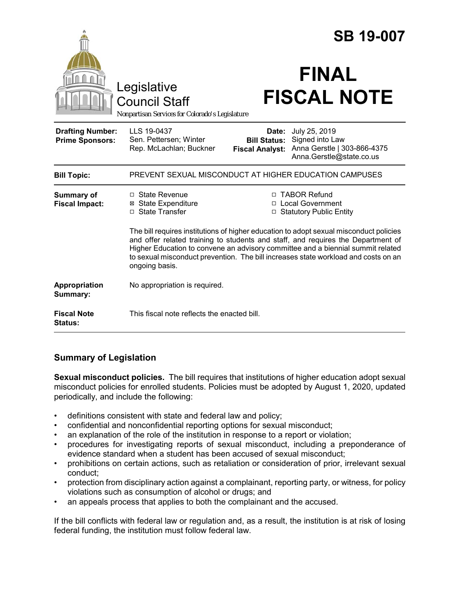|                                                   |                                                                                                                                                                                                                                                                                                                                                                                                                                                                                                                                     |                                               | <b>SB 19-007</b>                                                                                  |
|---------------------------------------------------|-------------------------------------------------------------------------------------------------------------------------------------------------------------------------------------------------------------------------------------------------------------------------------------------------------------------------------------------------------------------------------------------------------------------------------------------------------------------------------------------------------------------------------------|-----------------------------------------------|---------------------------------------------------------------------------------------------------|
|                                                   | Legislative<br><b>Council Staff</b><br>Nonpartisan Services for Colorado's Legislature                                                                                                                                                                                                                                                                                                                                                                                                                                              |                                               | <b>FINAL</b><br><b>FISCAL NOTE</b>                                                                |
| <b>Drafting Number:</b><br><b>Prime Sponsors:</b> | LLS 19-0437<br>Sen. Pettersen; Winter<br>Rep. McLachlan; Buckner                                                                                                                                                                                                                                                                                                                                                                                                                                                                    | <b>Bill Status:</b><br><b>Fiscal Analyst:</b> | Date: July 25, 2019<br>Signed into Law<br>Anna Gerstle   303-866-4375<br>Anna.Gerstle@state.co.us |
| <b>Bill Topic:</b>                                | PREVENT SEXUAL MISCONDUCT AT HIGHER EDUCATION CAMPUSES                                                                                                                                                                                                                                                                                                                                                                                                                                                                              |                                               |                                                                                                   |
| <b>Summary of</b><br><b>Fiscal Impact:</b>        | □ TABOR Refund<br>$\Box$ State Revenue<br><b>⊠</b> State Expenditure<br>□ Local Government<br>□ State Transfer<br><b>Statutory Public Entity</b><br>$\Box$<br>The bill requires institutions of higher education to adopt sexual misconduct policies<br>and offer related training to students and staff, and requires the Department of<br>Higher Education to convene an advisory committee and a biennial summit related<br>to sexual misconduct prevention. The bill increases state workload and costs on an<br>ongoing basis. |                                               |                                                                                                   |
| Appropriation<br>Summary:                         | No appropriation is required.                                                                                                                                                                                                                                                                                                                                                                                                                                                                                                       |                                               |                                                                                                   |
| <b>Fiscal Note</b><br><b>Status:</b>              | This fiscal note reflects the enacted bill.                                                                                                                                                                                                                                                                                                                                                                                                                                                                                         |                                               |                                                                                                   |

## **Summary of Legislation**

**Sexual misconduct policies.** The bill requires that institutions of higher education adopt sexual misconduct policies for enrolled students. Policies must be adopted by August 1, 2020, updated periodically, and include the following:

- definitions consistent with state and federal law and policy;
- confidential and nonconfidential reporting options for sexual misconduct;
- an explanation of the role of the institution in response to a report or violation;
- procedures for investigating reports of sexual misconduct, including a preponderance of evidence standard when a student has been accused of sexual misconduct;
- prohibitions on certain actions, such as retaliation or consideration of prior, irrelevant sexual conduct;
- protection from disciplinary action against a complainant, reporting party, or witness, for policy violations such as consumption of alcohol or drugs; and
- an appeals process that applies to both the complainant and the accused.

If the bill conflicts with federal law or regulation and, as a result, the institution is at risk of losing federal funding, the institution must follow federal law.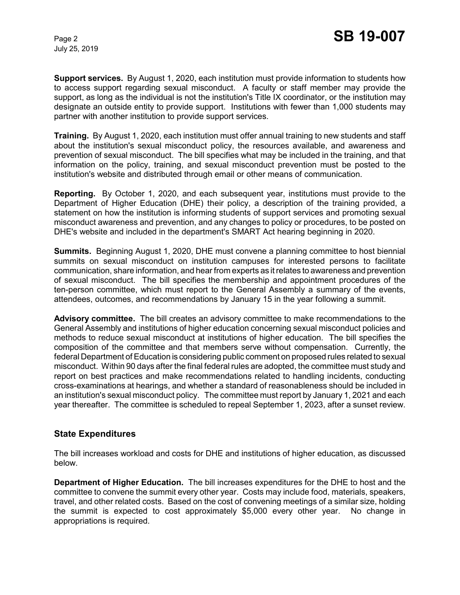July 25, 2019

**Support services.** By August 1, 2020, each institution must provide information to students how to access support regarding sexual misconduct. A faculty or staff member may provide the support, as long as the individual is not the institution's Title IX coordinator, or the institution may designate an outside entity to provide support. Institutions with fewer than 1,000 students may partner with another institution to provide support services.

**Training.** By August 1, 2020, each institution must offer annual training to new students and staff about the institution's sexual misconduct policy, the resources available, and awareness and prevention of sexual misconduct. The bill specifies what may be included in the training, and that information on the policy, training, and sexual misconduct prevention must be posted to the institution's website and distributed through email or other means of communication.

**Reporting.** By October 1, 2020, and each subsequent year, institutions must provide to the Department of Higher Education (DHE) their policy, a description of the training provided, a statement on how the institution is informing students of support services and promoting sexual misconduct awareness and prevention, and any changes to policy or procedures, to be posted on DHE's website and included in the department's SMART Act hearing beginning in 2020.

**Summits.** Beginning August 1, 2020, DHE must convene a planning committee to host biennial summits on sexual misconduct on institution campuses for interested persons to facilitate communication, share information, and hear from experts as it relates to awareness and prevention of sexual misconduct. The bill specifies the membership and appointment procedures of the ten-person committee, which must report to the General Assembly a summary of the events, attendees, outcomes, and recommendations by January 15 in the year following a summit.

**Advisory committee.** The bill creates an advisory committee to make recommendations to the General Assembly and institutions of higher education concerning sexual misconduct policies and methods to reduce sexual misconduct at institutions of higher education. The bill specifies the composition of the committee and that members serve without compensation. Currently, the federal Department of Education is considering public comment on proposed rules related to sexual misconduct. Within 90 days after the final federal rules are adopted, the committee must study and report on best practices and make recommendations related to handling incidents, conducting cross-examinations at hearings, and whether a standard of reasonableness should be included in an institution's sexual misconduct policy. The committee must report by January 1, 2021 and each year thereafter. The committee is scheduled to repeal September 1, 2023, after a sunset review.

## **State Expenditures**

The bill increases workload and costs for DHE and institutions of higher education, as discussed below.

**Department of Higher Education.** The bill increases expenditures for the DHE to host and the committee to convene the summit every other year. Costs may include food, materials, speakers, travel, and other related costs. Based on the cost of convening meetings of a similar size, holding the summit is expected to cost approximately \$5,000 every other year. No change in appropriations is required.